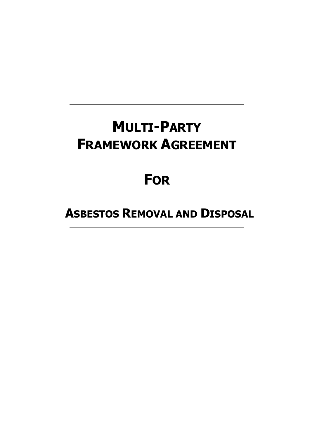# **MULTI-PARTY FRAMEWORK AGREEMENT**

# **FOR**

 **ASBESTOS REMOVAL AND DISPOSAL**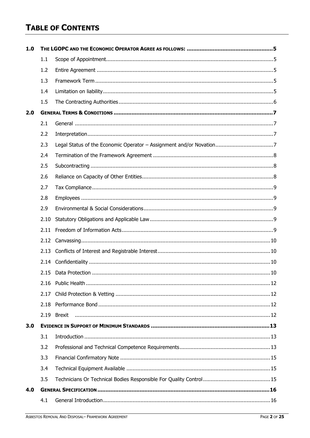# **TABLE OF CONTENTS**

| 1.0 |      |        |  |
|-----|------|--------|--|
|     | 1.1  |        |  |
|     | 1.2  |        |  |
|     | 1.3  |        |  |
|     | 1.4  |        |  |
|     | 1.5  |        |  |
| 2.0 |      |        |  |
|     | 2.1  |        |  |
|     | 2.2  |        |  |
|     | 2.3  |        |  |
|     | 2.4  |        |  |
|     | 2.5  |        |  |
|     | 2.6  |        |  |
|     | 2.7  |        |  |
|     | 2.8  |        |  |
|     | 2.9  |        |  |
|     | 2.10 |        |  |
|     | 2.11 |        |  |
|     | 2.12 |        |  |
|     | 2.13 |        |  |
|     | 2.14 |        |  |
|     |      |        |  |
|     |      |        |  |
|     | 2.17 |        |  |
|     | 2.18 |        |  |
|     | 2.19 | Brexit |  |
| 3.0 |      |        |  |
|     | 3.1  |        |  |
|     | 3.2  |        |  |
|     | 3.3  |        |  |
|     | 3.4  |        |  |
|     | 3.5  |        |  |
| 4.0 |      |        |  |
|     | 4.1  |        |  |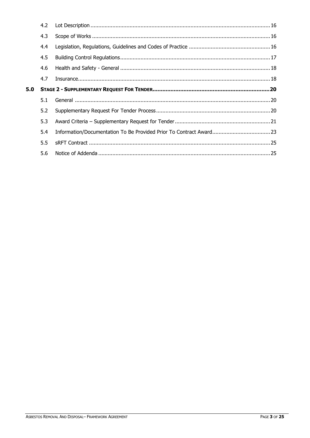|     | 4.2 |  |
|-----|-----|--|
|     | 4.3 |  |
|     | 4.4 |  |
|     | 4.5 |  |
|     | 4.6 |  |
|     | 4.7 |  |
| 5.0 |     |  |
|     | 5.1 |  |
|     | 5.2 |  |
|     | 5.3 |  |
|     | 5.4 |  |
|     |     |  |
|     | 5.5 |  |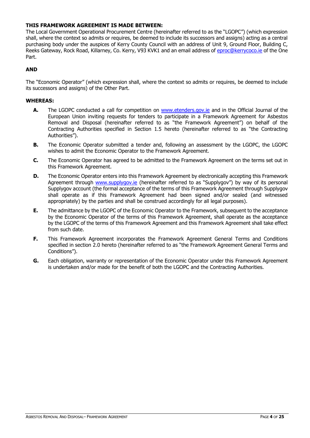# **THIS FRAMEWORK AGREEMENT IS MADE BETWEEN:**

The Local Government Operational Procurement Centre (hereinafter referred to as the "LGOPC") (which expression shall, where the context so admits or requires, be deemed to include its successors and assigns) acting as a central purchasing body under the auspices of Kerry County Council with an address of Unit 9, Ground Floor, Building C, Reeks Gateway, Rock Road, Killarney, Co. Kerry, V93 KVK1 and an email address of [eproc@kerrycoco.ie](mailto:eproc@kerrycoco.ie) of the One Part.

# **AND**

The "Economic Operator" (which expression shall, where the context so admits or requires, be deemed to include its successors and assigns) of the Other Part.

# **WHEREAS:**

- **A.** The LGOPC conducted a call for competition on [www.etenders.gov.ie](http://www.etenders.gov.ie/) and in the Official Journal of the European Union inviting requests for tenders to participate in a Framework Agreement for Asbestos Removal and Disposal (hereinafter referred to as "the Framework Agreement") on behalf of the Contracting Authorities specified in Section 1.5 hereto (hereinafter referred to as "the Contracting Authorities").
- **B.** The Economic Operator submitted a tender and, following an assessment by the LGOPC, the LGOPC wishes to admit the Economic Operator to the Framework Agreement.
- **C.** The Economic Operator has agreed to be admitted to the Framework Agreement on the terms set out in this Framework Agreement.
- **D.** The Economic Operator enters into this Framework Agreement by electronically accepting this Framework Agreement through [www.supplygov.ie](http://www.supplygov.ie/) (hereinafter referred to as "Supplygov") by way of its personal Supplygov account (the formal acceptance of the terms of this Framework Agreement through Supplygov shall operate as if this Framework Agreement had been signed and/or sealed (and witnessed appropriately) by the parties and shall be construed accordingly for all legal purposes).
- **E.** The admittance by the LGOPC of the Economic Operator to the Framework, subsequent to the acceptance by the Economic Operator of the terms of this Framework Agreement, shall operate as the acceptance by the LGOPC of the terms of this Framework Agreement and this Framework Agreement shall take effect from such date.
- **F.** This Framework Agreement incorporates the Framework Agreement General Terms and Conditions specified in section 2.0 hereto (hereinafter referred to as "the Framework Agreement General Terms and Conditions").
- **G.** Each obligation, warranty or representation of the Economic Operator under this Framework Agreement is undertaken and/or made for the benefit of both the LGOPC and the Contracting Authorities.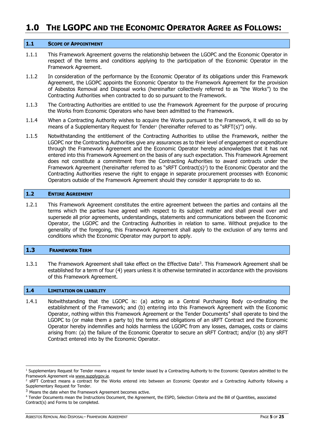# <span id="page-4-0"></span>**1.0 THE LGOPC AND THE ECONOMIC OPERATOR AGREE AS FOLLOWS:**

#### <span id="page-4-1"></span>**1.1 SCOPE OF APPOINTMENT**

- 1.1.1 This Framework Agreement governs the relationship between the LGOPC and the Economic Operator in respect of the terms and conditions applying to the participation of the Economic Operator in the Framework Agreement.
- 1.1.2 In consideration of the performance by the Economic Operator of its obligations under this Framework Agreement, the LGOPC appoints the Economic Operator to the Framework Agreement for the provision of Asbestos Removal and Disposal works (hereinafter collectively referred to as "the Works") to the Contracting Authorities when contracted to do so pursuant to the Framework.
- 1.1.3 The Contracting Authorities are entitled to use the Framework Agreement for the purpose of procuring the Works from Economic Operators who have been admitted to the Framework.
- 1.1.4 When a Contracting Authority wishes to acquire the Works pursuant to the Framework, it will do so by means of a Supplementary Request for Tender<sup>1</sup> (hereinafter referred to as "sRFT(s)") only.
- 1.1.5 Notwithstanding the entitlement of the Contracting Authorities to utilise the Framework, neither the LGOPC nor the Contracting Authorities give any assurances as to their level of engagement or expenditure through the Framework Agreement and the Economic Operator hereby acknowledges that it has not entered into this Framework Agreement on the basis of any such expectation. This Framework Agreement does not constitute a commitment from the Contracting Authorities to award contracts under the Framework Agreement (hereinafter referred to as "sRFT Contract(s) 2 ) to the Economic Operator and the Contracting Authorities reserve the right to engage in separate procurement processes with Economic Operators outside of the Framework Agreement should they consider it appropriate to do so.

#### <span id="page-4-2"></span>**1.2 ENTIRE AGREEMENT**

1.2.1 This Framework Agreement constitutes the entire agreement between the parties and contains all the terms which the parties have agreed with respect to its subject matter and shall prevail over and supersede all prior agreements, understandings, statements and communications between the Economic Operator, the LGOPC and the Contracting Authorities in relation to same. Without prejudice to the generality of the foregoing, this Framework Agreement shall apply to the exclusion of any terms and conditions which the Economic Operator may purport to apply.

#### <span id="page-4-3"></span>**1.3 FRAMEWORK TERM**

1.3.1 The Framework Agreement shall take effect on the Effective Date<sup>3</sup>. This Framework Agreement shall be established for a term of four (4) years unless it is otherwise terminated in accordance with the provisions of this Framework Agreement.

## <span id="page-4-4"></span>**1.4 LIMITATION ON LIABILITY**

1.4.1 Notwithstanding that the LGOPC is: (a) acting as a Central Purchasing Body co-ordinating the establishment of the Framework; and (b) entering into this Framework Agreement with the Economic Operator, nothing within this Framework Agreement or the Tender Documents<sup>4</sup> shall operate to bind the LGOPC to (or make them a party to) the terms and obligations of an sRFT Contract and the Economic Operator hereby indemnifies and holds harmless the LGOPC from any losses, damages, costs or claims arising from: (a) the failure of the Economic Operator to secure an sRFT Contract; and/or (b) any sRFT Contract entered into by the Economic Operator.

 $1$  Supplementary Request for Tender means a request for tender issued by a Contracting Authority to the Economic Operators admitted to the Framework Agreement via [www.supplygov.ie.](http://www.supplygov.ie/)

<sup>&</sup>lt;sup>2</sup> SRFT Contract means a contract for the Works entered into between an Economic Operator and a Contracting Authority following a Supplementary Request for Tender.

<sup>&</sup>lt;sup>3</sup> Means the date when the Framework Agreement becomes active.

<sup>4</sup> Tender Documents mean the Instructions Document, the Agreement, the ESPD, Selection Criteria and the Bill of Quantities, associated Contract(s) and Forms to be completed.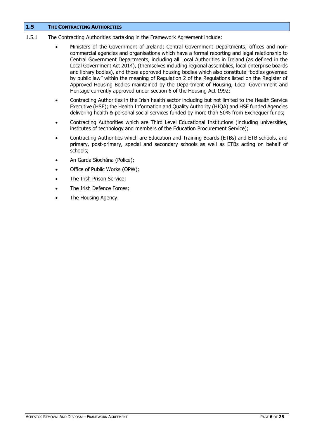## <span id="page-5-0"></span>**1.5 THE CONTRACTING AUTHORITIES**

- 1.5.1 The Contracting Authorities partaking in the Framework Agreement include:
	- Ministers of the Government of Ireland; Central Government Departments; offices and noncommercial agencies and organisations which have a formal reporting and legal relationship to Central Government Departments, including all Local Authorities in Ireland (as defined in the Local Government Act 2014), (themselves including regional assemblies, local enterprise boards and library bodies), and those approved housing bodies which also constitute "bodies governed by public law" within the meaning of Regulation 2 of the Regulations listed on the Register of Approved Housing Bodies maintained by the Department of Housing, Local Government and Heritage currently approved under section 6 of the Housing Act 1992;
	- Contracting Authorities in the Irish health sector including but not limited to the Health Service Executive (HSE); the Health Information and Quality Authority (HIQA) and HSE funded Agencies delivering health & personal social services funded by more than 50% from Exchequer funds;
	- Contracting Authorities which are Third Level Educational Institutions (including universities, institutes of technology and members of the Education Procurement Service);
	- Contracting Authorities which are Education and Training Boards (ETBs) and ETB schools, and primary, post-primary, special and secondary schools as well as ETBs acting on behalf of schools;
	- An Garda Síochána (Police);
	- Office of Public Works (OPW);
	- The Irish Prison Service;
	- The Irish Defence Forces:
	- The Housing Agency.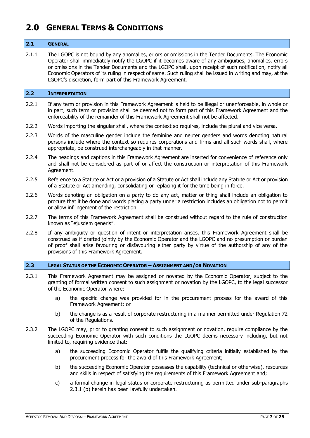# <span id="page-6-0"></span>**2.0 GENERAL TERMS & CONDITIONS**

#### <span id="page-6-1"></span>**2.1 GENERAL**

2.1.1 The LGOPC is not bound by any anomalies, errors or omissions in the Tender Documents. The Economic Operator shall immediately notify the LGOPC if it becomes aware of any ambiguities, anomalies, errors or omissions in the Tender Documents and the LGOPC shall, upon receipt of such notification, notify all Economic Operators of its ruling in respect of same. Such ruling shall be issued in writing and may, at the LGOPC's discretion, form part of this Framework Agreement.

#### <span id="page-6-2"></span>**2.2 INTERPRETATION**

- 2.2.1 If any term or provision in this Framework Agreement is held to be illegal or unenforceable, in whole or in part, such term or provision shall be deemed not to form part of this Framework Agreement and the enforceability of the remainder of this Framework Agreement shall not be affected.
- 2.2.2 Words importing the singular shall, where the context so requires, include the plural and vice versa.
- 2.2.3 Words of the masculine gender include the feminine and neuter genders and words denoting natural persons include where the context so requires corporations and firms and all such words shall, where appropriate, be construed interchangeably in that manner.
- 2.2.4 The headings and captions in this Framework Agreement are inserted for convenience of reference only and shall not be considered as part of or affect the construction or interpretation of this Framework Agreement.
- 2.2.5 Reference to a Statute or Act or a provision of a Statute or Act shall include any Statute or Act or provision of a Statute or Act amending, consolidating or replacing it for the time being in force.
- 2.2.6 Words denoting an obligation on a party to do any act, matter or thing shall include an obligation to procure that it be done and words placing a party under a restriction includes an obligation not to permit or allow infringement of the restriction.
- 2.2.7 The terms of this Framework Agreement shall be construed without regard to the rule of construction known as "ejusdem generis".
- 2.2.8 If any ambiguity or question of intent or interpretation arises, this Framework Agreement shall be construed as if drafted jointly by the Economic Operator and the LGOPC and no presumption or burden of proof shall arise favouring or disfavouring either party by virtue of the authorship of any of the provisions of this Framework Agreement.

#### <span id="page-6-3"></span>**2.3 LEGAL STATUS OF THE ECONOMIC OPERATOR – ASSIGNMENT AND/OR NOVATION**

- 2.3.1 This Framework Agreement may be assigned or novated by the Economic Operator, subject to the granting of formal written consent to such assignment or novation by the LGOPC, to the legal successor of the Economic Operator where:
	- a) the specific change was provided for in the procurement process for the award of this Framework Agreement; or
	- b) the change is as a result of corporate restructuring in a manner permitted under Regulation 72 of the Regulations.
- 2.3.2 The LGOPC may, prior to granting consent to such assignment or novation, require compliance by the succeeding Economic Operator with such conditions the LGOPC deems necessary including, but not limited to, requiring evidence that:
	- a) the succeeding Economic Operator fulfils the qualifying criteria initially established by the procurement process for the award of this Framework Agreement;
	- b) the succeeding Economic Operator possesses the capability (technical or otherwise), resources and skills in respect of satisfying the requirements of this Framework Agreement and;
	- c) a formal change in legal status or corporate restructuring as permitted under sub-paragraphs 2.3.1 (b) herein has been lawfully undertaken.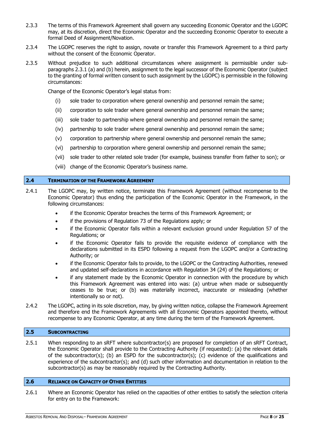- 2.3.3 The terms of this Framework Agreement shall govern any succeeding Economic Operator and the LGOPC may, at its discretion, direct the Economic Operator and the succeeding Economic Operator to execute a formal Deed of Assignment/Novation.
- 2.3.4 The LGOPC reserves the right to assign, novate or transfer this Framework Agreement to a third party without the consent of the Economic Operator.
- 2.3.5 Without prejudice to such additional circumstances where assignment is permissible under subparagraphs 2.3.1 (a) and (b) herein, assignment to the legal successor of the Economic Operator (subject to the granting of formal written consent to such assignment by the LGOPC) is permissible in the following circumstances:

Change of the Economic Operator's legal status from:

- (i) sole trader to corporation where general ownership and personnel remain the same;
- (ii) corporation to sole trader where general ownership and personnel remain the same;
- (iii) sole trader to partnership where general ownership and personnel remain the same;
- (iv) partnership to sole trader where general ownership and personnel remain the same;
- (v) corporation to partnership where general ownership and personnel remain the same;
- (vi) partnership to corporation where general ownership and personnel remain the same;
- (vii) sole trader to other related sole trader (for example, business transfer from father to son); or
- (viii) change of the Economic Operator's business name.

#### <span id="page-7-0"></span>**2.4 TERMINATION OF THE FRAMEWORK AGREEMENT**

- 2.4.1 The LGOPC may, by written notice, terminate this Framework Agreement (without recompense to the Economic Operator) thus ending the participation of the Economic Operator in the Framework, in the following circumstances:
	- if the Economic Operator breaches the terms of this Framework Agreement; or
	- if the provisions of Regulation 73 of the Regulations apply; or
	- if the Economic Operator falls within a relevant exclusion ground under Regulation 57 of the Regulations; or
	- if the Economic Operator fails to provide the requisite evidence of compliance with the declarations submitted in its ESPD following a request from the LGOPC and/or a Contracting Authority; or
	- if the Economic Operator fails to provide, to the LGOPC or the Contracting Authorities, renewed and updated self-declarations in accordance with Regulation 34 (24) of the Regulations; or
	- if any statement made by the Economic Operator in connection with the procedure by which this Framework Agreement was entered into was: (a) untrue when made or subsequently ceases to be true; or (b) was materially incorrect, inaccurate or misleading (whether intentionally so or not).
- 2.4.2 The LGOPC, acting in its sole discretion, may, by giving written notice, collapse the Framework Agreement and therefore end the Framework Agreements with all Economic Operators appointed thereto, without recompense to any Economic Operator, at any time during the term of the Framework Agreement.

## <span id="page-7-1"></span>**2.5 SUBCONTRACTING**

2.5.1 When responding to an sRFT where subcontractor(s) are proposed for completion of an sRFT Contract, the Economic Operator shall provide to the Contracting Authority (if requested): (a) the relevant details of the subcontractor(s); (b) an ESPD for the subcontractor(s); (c) evidence of the qualifications and experience of the subcontractor(s); and (d) such other information and documentation in relation to the subcontractor(s) as may be reasonably required by the Contracting Authority.

## <span id="page-7-2"></span>**2.6 RELIANCE ON CAPACITY OF OTHER ENTITIES**

2.6.1 Where an Economic Operator has relied on the capacities of other entities to satisfy the selection criteria for entry on to the Framework: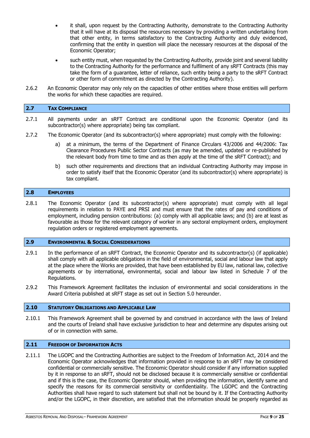- it shall, upon request by the Contracting Authority, demonstrate to the Contracting Authority that it will have at its disposal the resources necessary by providing a written undertaking from that other entity, in terms satisfactory to the Contracting Authority and duly evidenced, confirming that the entity in question will place the necessary resources at the disposal of the Economic Operator;
- such entity must, when requested by the Contracting Authority, provide joint and several liability to the Contracting Authority for the performance and fulfilment of any sRFT Contracts (this may take the form of a guarantee, letter of reliance, such entity being a party to the sRFT Contract or other form of commitment as directed by the Contracting Authority).
- 2.6.2 An Economic Operator may only rely on the capacities of other entities where those entities will perform the works for which these capacities are required.

#### <span id="page-8-0"></span>**2.7 TAX COMPLIANCE**

- 2.7.1 All payments under an sRFT Contract are conditional upon the Economic Operator (and its subcontractor(s) where appropriate) being tax compliant.
- 2.7.2 The Economic Operator (and its subcontractor(s) where appropriate) must comply with the following:
	- a) at a minimum, the terms of the Department of Finance Circulars 43/2006 and 44/2006: Tax Clearance Procedures Public Sector Contracts (as may be amended, updated or re-published by the relevant body from time to time and as then apply at the time of the sRFT Contract); and
	- b) such other requirements and directions that an individual Contracting Authority may impose in order to satisfy itself that the Economic Operator (and its subcontractor(s) where appropriate) is tax compliant.

#### <span id="page-8-1"></span>**2.8 EMPLOYEES**

2.8.1 The Economic Operator (and its subcontractor(s) where appropriate) must comply with all legal requirements in relation to PAYE and PRSI and must ensure that the rates of pay and conditions of employment, including pension contributions: (a) comply with all applicable laws; and (b) are at least as favourable as those for the relevant category of worker in any sectoral employment orders, employment regulation orders or registered employment agreements.

#### <span id="page-8-2"></span>**2.9 ENVIRONMENTAL & SOCIAL CONSIDERATIONS**

- 2.9.1 In the performance of an sRFT Contract, the Economic Operator and its subcontractor(s) (if applicable) shall comply with all applicable obligations in the field of environmental, social and labour law that apply at the place where the Works are provided, that have been established by EU law, national law, collective agreements or by international, environmental, social and labour law listed in Schedule 7 of the Regulations.
- 2.9.2 This Framework Agreement facilitates the inclusion of environmental and social considerations in the Award Criteria published at sRFT stage as set out in Section 5.0 hereunder.

## <span id="page-8-3"></span>**2.10 STATUTORY OBLIGATIONS AND APPLICABLE LAW**

2.10.1 This Framework Agreement shall be governed by and construed in accordance with the laws of Ireland and the courts of Ireland shall have exclusive jurisdiction to hear and determine any disputes arising out of or in connection with same.

#### <span id="page-8-4"></span>**2.11 FREEDOM OF INFORMATION ACTS**

2.11.1 The LGOPC and the Contracting Authorities are subject to the Freedom of Information Act, 2014 and the Economic Operator acknowledges that information provided in response to an sRFT may be considered confidential or commercially sensitive. The Economic Operator should consider if any information supplied by it in response to an sRFT, should not be disclosed because it is commercially sensitive or confidential and if this is the case, the Economic Operator should, when providing the information, identify same and specify the reasons for its commercial sensitivity or confidentiality. The LGOPC and the Contracting Authorities shall have regard to such statement but shall not be bound by it. If the Contracting Authority and/or the LGOPC, in their discretion, are satisfied that the information should be properly regarded as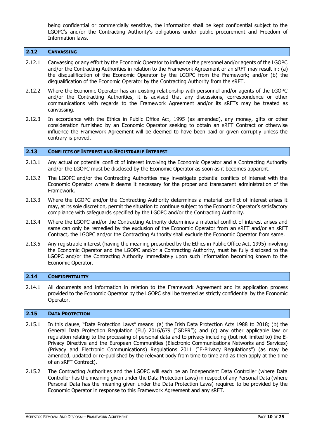being confidential or commercially sensitive, the information shall be kept confidential subject to the LGOPC's and/or the Contracting Authority's obligations under public procurement and Freedom of Information laws.

#### <span id="page-9-0"></span>**2.12 CANVASSING**

- 2.12.1 Canvassing or any effort by the Economic Operator to influence the personnel and/or agents of the LGOPC and/or the Contracting Authorities in relation to the Framework Agreement or an sRFT may result in: (a) the disqualification of the Economic Operator by the LGOPC from the Framework; and/or (b) the disqualification of the Economic Operator by the Contracting Authority from the sRFT.
- 2.12.2 Where the Economic Operator has an existing relationship with personnel and/or agents of the LGOPC and/or the Contracting Authorities, it is advised that any discussions, correspondence or other communications with regards to the Framework Agreement and/or its sRFTs may be treated as canvassing.
- 2.12.3 In accordance with the Ethics in Public Office Act, 1995 (as amended), any money, gifts or other consideration furnished by an Economic Operator seeking to obtain an sRFT Contract or otherwise influence the Framework Agreement will be deemed to have been paid or given corruptly unless the contrary is proved.

#### <span id="page-9-1"></span>**2.13 CONFLICTS OF INTEREST AND REGISTRABLE INTEREST**

- 2.13.1 Any actual or potential conflict of interest involving the Economic Operator and a Contracting Authority and/or the LGOPC must be disclosed by the Economic Operator as soon as it becomes apparent.
- 2.13.2 The LGOPC and/or the Contracting Authorities may investigate potential conflicts of interest with the Economic Operator where it deems it necessary for the proper and transparent administration of the Framework.
- 2.13.3 Where the LGOPC and/or the Contracting Authority determines a material conflict of interest arises it may, at its sole discretion, permit the situation to continue subject to the Economic Operator's satisfactory compliance with safeguards specified by the LGOPC and/or the Contracting Authority.
- 2.13.4 Where the LGOPC and/or the Contracting Authority determines a material conflict of interest arises and same can only be remedied by the exclusion of the Economic Operator from an sRFT and/or an sRFT Contract, the LGOPC and/or the Contracting Authority shall exclude the Economic Operator from same.
- 2.13.5 Any registrable interest (having the meaning prescribed by the Ethics in Public Office Act, 1995) involving the Economic Operator and the LGOPC and/or a Contracting Authority, must be fully disclosed to the LGOPC and/or the Contracting Authority immediately upon such information becoming known to the Economic Operator.

#### <span id="page-9-2"></span>**2.14 CONFIDENTIALITY**

2.14.1 All documents and information in relation to the Framework Agreement and its application process provided to the Economic Operator by the LGOPC shall be treated as strictly confidential by the Economic Operator.

#### <span id="page-9-3"></span>**2.15 DATA PROTECTION**

- 2.15.1 In this clause, "Data Protection Laws" means: (a) the Irish Data Protection Acts 1988 to 2018; (b) the General Data Protection Regulation (EU) 2016/679 ("GDPR"); and (c) any other applicable law or regulation relating to the processing of personal data and to privacy including (but not limited to) the E-Privacy Directive and the European Communities (Electronic Communications Networks and Services) (Privacy and Electronic Communications) Regulations 2011 ("E-Privacy Regulations") (as may be amended, updated or re-published by the relevant body from time to time and as then apply at the time of an sRFT Contract).
- 2.15.2 The Contracting Authorities and the LGOPC will each be an Independent Data Controller (where Data Controller has the meaning given under the Data Protection Laws) in respect of any Personal Data (where Personal Data has the meaning given under the Data Protection Laws) required to be provided by the Economic Operator in response to this Framework Agreement and any sRFT.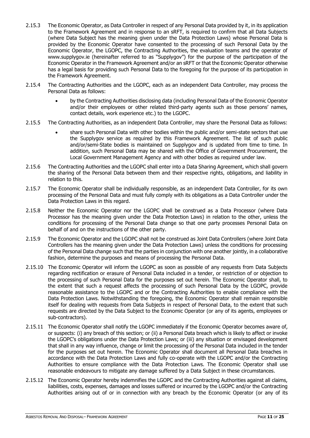- 2.15.3 The Economic Operator, as Data Controller in respect of any Personal Data provided by it, in its application to the Framework Agreement and in response to an sRFT, is required to confirm that all Data Subjects (where Data Subject has the meaning given under the Data Protection Laws) whose Personal Data is provided by the Economic Operator have consented to the processing of such Personal Data by the Economic Operator, the LGOPC, the Contracting Authorities, the evaluation teams and the operator of [www.supplygov.ie](http://www.supplygov.ie/) (hereinafter referred to as "Supplygov") for the purpose of the participation of the Economic Operator in the Framework Agreement and/or an sRFT or that the Economic Operator otherwise has a legal basis for providing such Personal Data to the foregoing for the purpose of its participation in the Framework Agreement.
- 2.15.4 The Contracting Authorities and the LGOPC, each as an independent Data Controller, may process the Personal Data as follows:
	- by the Contracting Authorities disclosing data (including Personal Data of the Economic Operator and/or their employees or other related third-party agents such as those persons' names, contact details, work experience etc.) to the LGOPC.
- 2.15.5 The Contracting Authorities, as an independent Data Controller, may share the Personal Data as follows:
	- share such Personal Data with other bodies within the public and/or semi-state sectors that use the Supplygov service as required by this Framework Agreement. The list of such public and/or/semi-State bodies is maintained on Supplygov and is updated from time to time. In addition, such Personal Data may be shared with the Office of Government Procurement, the Local Government Management Agency and with other bodies as required under law.
- 2.15.6 The Contracting Authorities and the LGOPC shall enter into a Data Sharing Agreement, which shall govern the sharing of the Personal Data between them and their respective rights, obligations, and liability in relation to this.
- 2.15.7 The Economic Operator shall be individually responsible, as an independent Data Controller, for its own processing of the Personal Data and must fully comply with its obligations as a Data Controller under the Data Protection Laws in this regard.
- 2.15.8 Neither the Economic Operator nor the LGOPC shall be construed as a Data Processor (where Data Processor has the meaning given under the Data Protection Laws) in relation to the other, unless the conditions for processing of the Personal Data change so that one party processes Personal Data on behalf of and on the instructions of the other party.
- 2.15.9 The Economic Operator and the LGOPC shall not be construed as Joint Data Controllers (where Joint Data Controllers has the meaning given under the Data Protection Laws) unless the conditions for processing of the Personal Data change such that the parties in conjunction with one another jointly, in a collaborative fashion, determine the purposes and means of processing the Personal Data.
- 2.15.10 The Economic Operator will inform the LGOPC as soon as possible of any requests from Data Subjects regarding rectification or erasure of Personal Data included in a tender, or restriction of or objection to the processing of such Personal Data for the purposes set out herein. The Economic Operator shall, to the extent that such a request affects the processing of such Personal Data by the LGOPC, provide reasonable assistance to the LGOPC and or the Contracting Authorities to enable compliance with the Data Protection Laws. Notwithstanding the foregoing, the Economic Operator shall remain responsible itself for dealing with requests from Data Subjects in respect of Personal Data, to the extent that such requests are directed by the Data Subject to the Economic Operator (or any of its agents, employees or sub-contractors).
- 2.15.11 The Economic Operator shall notify the LGOPC immediately if the Economic Operator becomes aware of, or suspects: (i) any breach of this section; or (ii) a Personal Data breach which is likely to affect or invoke the LGOPC's obligations under the Data Protection Laws; or (iii) any situation or envisaged development that shall in any way influence, change or limit the processing of the Personal Data included in the tender for the purposes set out herein. The Economic Operator shall document all Personal Data breaches in accordance with the Data Protection Laws and fully co-operate with the LGOPC and/or the Contracting Authorities to ensure compliance with the Data Protection Laws. The Economic Operator shall use reasonable endeavours to mitigate any damage suffered by a Data Subject in these circumstances.
- 2.15.12 The Economic Operator hereby indemnifies the LGOPC and the Contracting Authorities against all claims, liabilities, costs, expenses, damages and losses suffered or incurred by the LGOPC and/or the Contracting Authorities arising out of or in connection with any breach by the Economic Operator (or any of its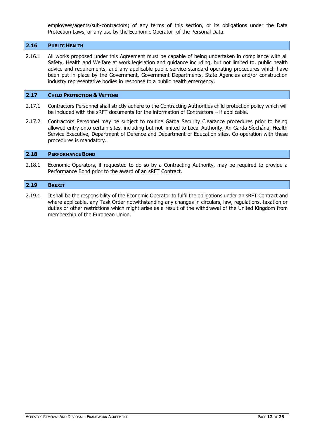employees/agents/sub-contractors) of any terms of this section, or its obligations under the Data Protection Laws, or any use by the Economic Operator of the Personal Data.

#### <span id="page-11-0"></span>**2.16 PUBLIC HEALTH**

2.16.1 All works proposed under this Agreement must be capable of being undertaken in compliance with all Safety, Health and Welfare at work legislation and guidance including, but not limited to, public health advice and requirements, and any applicable public service standard operating procedures which have been put in place by the Government, Government Departments, State Agencies and/or construction industry representative bodies in response to a public health emergency.

#### <span id="page-11-1"></span>**2.17 CHILD PROTECTION & VETTING**

- 2.17.1 Contractors Personnel shall strictly adhere to the Contracting Authorities child protection policy which will be included with the sRFT documents for the information of Contractors – if applicable.
- 2.17.2 Contractors Personnel may be subject to routine Garda Security Clearance procedures prior to being allowed entry onto certain sites, including but not limited to Local Authority, An Garda Síochána, Health Service Executive, Department of Defence and Department of Education sites. Co-operation with these procedures is mandatory.

#### <span id="page-11-2"></span>**2.18 PERFORMANCE BOND**

2.18.1 Economic Operators, if requested to do so by a Contracting Authority, may be required to provide a Performance Bond prior to the award of an sRFT Contract.

#### <span id="page-11-3"></span>**2.19 BREXIT**

2.19.1 It shall be the responsibility of the Economic Operator to fulfil the obligations under an sRFT Contract and where applicable, any Task Order notwithstanding any changes in circulars, law, regulations, taxation or duties or other restrictions which might arise as a result of the withdrawal of the United Kingdom from membership of the European Union.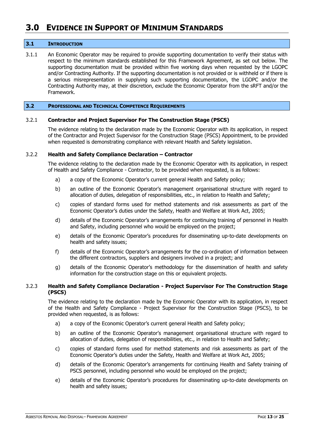# <span id="page-12-0"></span>**3.0 EVIDENCE IN SUPPORT OF MINIMUM STANDARDS**

#### <span id="page-12-1"></span>**3.1 INTRODUCTION**

3.1.1 An Economic Operator may be required to provide supporting documentation to verify their status with respect to the minimum standards established for this Framework Agreement, as set out below. The supporting documentation must be provided within five working days when requested by the LGOPC and/or Contracting Authority. If the supporting documentation is not provided or is withheld or if there is a serious misrepresentation in supplying such supporting documentation, the LGOPC and/or the Contracting Authority may, at their discretion, exclude the Economic Operator from the sRFT and/or the Framework.

#### <span id="page-12-2"></span>**3.2 PROFESSIONAL AND TECHNICAL COMPETENCE REQUIREMENTS**

#### 3.2.1 **Contractor and Project Supervisor For The Construction Stage (PSCS)**

The evidence relating to the declaration made by the Economic Operator with its application, in respect of the Contractor and Project Supervisor for the Construction Stage (PSCS) Appointment, to be provided when requested is demonstrating compliance with relevant Health and Safety legislation.

#### 3.2.2 **Health and Safety Compliance Declaration – Contractor**

The evidence relating to the declaration made by the Economic Operator with its application, in respect of Health and Safety Compliance - Contractor, to be provided when requested, is as follows:

- a) a copy of the Economic Operator's current general Health and Safety policy;
- b) an outline of the Economic Operator's management organisational structure with regard to allocation of duties, delegation of responsibilities, etc., in relation to Health and Safety;
- c) copies of standard forms used for method statements and risk assessments as part of the Economic Operator's duties under the Safety, Health and Welfare at Work Act, 2005;
- d) details of the Economic Operator's arrangements for continuing training of personnel in Health and Safety, including personnel who would be employed on the project;
- e) details of the Economic Operator's procedures for disseminating up-to-date developments on health and safety issues;
- f) details of the Economic Operator's arrangements for the co-ordination of information between the different contractors, suppliers and designers involved in a project; and
- g) details of the Economic Operator's methodology for the dissemination of health and safety information for the construction stage on this or equivalent projects.

## 3.2.3 **Health and Safety Compliance Declaration - Project Supervisor For The Construction Stage (PSCS)**

The evidence relating to the declaration made by the Economic Operator with its application, in respect of the Health and Safety Compliance - Project Supervisor for the Construction Stage (PSCS), to be provided when requested, is as follows:

- a) a copy of the Economic Operator's current general Health and Safety policy;
- b) an outline of the Economic Operator's management organisational structure with regard to allocation of duties, delegation of responsibilities, etc., in relation to Health and Safety;
- c) copies of standard forms used for method statements and risk assessments as part of the Economic Operator's duties under the Safety, Health and Welfare at Work Act, 2005;
- d) details of the Economic Operator's arrangements for continuing Health and Safety training of PSCS personnel, including personnel who would be employed on the project;
- e) details of the Economic Operator's procedures for disseminating up-to-date developments on health and safety issues;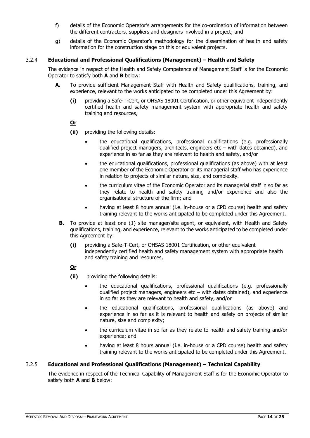- f) details of the Economic Operator's arrangements for the co-ordination of information between the different contractors, suppliers and designers involved in a project; and
- g) details of the Economic Operator's methodology for the dissemination of health and safety information for the construction stage on this or equivalent projects.

# 3.2.4 **Educational and Professional Qualifications (Management) – Health and Safety**

The evidence in respect of the Health and Safety Competence of Management Staff is for the Economic Operator to satisfy both **A** and **B** below:

- **A.** To provide sufficient Management Staff with Health and Safety qualifications, training, and experience, relevant to the works anticipated to be completed under this Agreement by:
	- **(i)** providing a Safe-T-Cert, or OHSAS 18001 Certification, or other equivalent independently certified health and safety management system with appropriate health and safety training and resources,

# **Or**

- **(ii)** providing the following details:
	- the educational qualifications, professional qualifications (e.g. professionally qualified project managers, architects, engineers etc – with dates obtained), and experience in so far as they are relevant to health and safety, and/or
	- the educational qualifications, professional qualifications (as above) with at least one member of the Economic Operator or its managerial staff who has experience in relation to projects of similar nature, size, and complexity.
	- the curriculum vitae of the Economic Operator and its managerial staff in so far as they relate to health and safety training and/or experience and also the organisational structure of the firm; and
	- having at least 8 hours annual (i.e. in-house or a CPD course) health and safety training relevant to the works anticipated to be completed under this Agreement.
- **B.** To provide at least one (1) site manager/site agent, or equivalent, with Health and Safety qualifications, training, and experience, relevant to the works anticipated to be completed under this Agreement by:
	- **(i)** providing a Safe-T-Cert, or OHSAS 18001 Certification, or other equivalent independently certified health and safety management system with appropriate health and safety training and resources,

# **Or**

- **(ii)** providing the following details:
	- the educational qualifications, professional qualifications (e.g. professionally qualified project managers, engineers etc – with dates obtained), and experience in so far as they are relevant to health and safety, and/or
	- the educational qualifications, professional qualifications (as above) and experience in so far as it is relevant to health and safety on projects of similar nature, size and complexity;
	- the curriculum vitae in so far as they relate to health and safety training and/or experience; and
	- having at least 8 hours annual (i.e. in-house or a CPD course) health and safety training relevant to the works anticipated to be completed under this Agreement.

# 3.2.5 **Educational and Professional Qualifications (Management) – Technical Capability**

The evidence in respect of the Technical Capability of Management Staff is for the Economic Operator to satisfy both **A** and **B** below: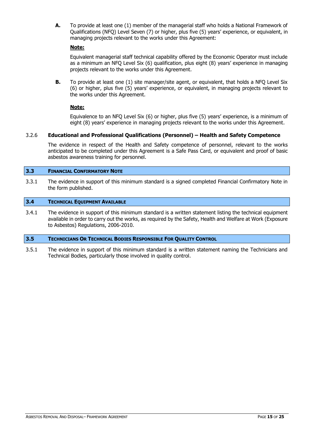**A.** To provide at least one (1) member of the managerial staff who holds a National Framework of Qualifications (NFQ) Level Seven (7) or higher, plus five (5) years' experience, or equivalent, in managing projects relevant to the works under this Agreement:

# **Note:**

Equivalent managerial staff technical capability offered by the Economic Operator must include as a minimum an NFQ Level Six (6) qualification, plus eight (8) years' experience in managing projects relevant to the works under this Agreement.

**B.** To provide at least one (1) site manager/site agent, or equivalent, that holds a NFO Level Six (6) or higher, plus five (5) years' experience, or equivalent, in managing projects relevant to the works under this Agreement.

# **Note:**

Equivalence to an NFQ Level Six (6) or higher, plus five (5) years' experience, is a minimum of eight (8) years' experience in managing projects relevant to the works under this Agreement.

# 3.2.6 **Educational and Professional Qualifications (Personnel) – Health and Safety Competence**

The evidence in respect of the Health and Safety competence of personnel, relevant to the works anticipated to be completed under this Agreement is a Safe Pass Card, or equivalent and proof of basic asbestos awareness training for personnel.

## <span id="page-14-0"></span>**3.3 FINANCIAL CONFIRMATORY NOTE**

3.3.1 The evidence in support of this minimum standard is a signed completed Financial Confirmatory Note in the form published.

# <span id="page-14-1"></span>**3.4 TECHNICAL EQUIPMENT AVAILABLE**

3.4.1 The evidence in support of this minimum standard is a written statement listing the technical equipment available in order to carry out the works, as required by the Safety, Health and Welfare at Work (Exposure to Asbestos) Regulations, 2006-2010.

## <span id="page-14-2"></span>**3.5 TECHNICIANS OR TECHNICAL BODIES RESPONSIBLE FOR QUALITY CONTROL**

3.5.1 The evidence in support of this minimum standard is a written statement naming the Technicians and Technical Bodies, particularly those involved in quality control.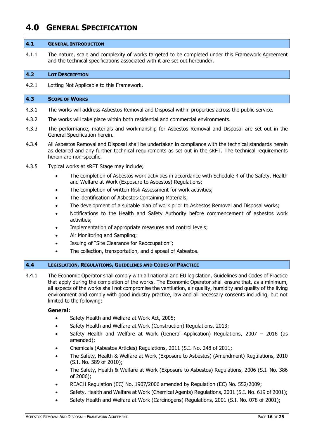# <span id="page-15-0"></span>**4.0 GENERAL SPECIFICATION**

#### <span id="page-15-1"></span>**4.1 GENERAL INTRODUCTION**

4.1.1 The nature, scale and complexity of works targeted to be completed under this Framework Agreement and the technical specifications associated with it are set out hereunder.

#### <span id="page-15-2"></span>**4.2 LOT DESCRIPTION**

4.2.1 Lotting Not Applicable to this Framework.

#### <span id="page-15-3"></span>**4.3 SCOPE OF WORKS**

- 4.3.1 The works will address Asbestos Removal and Disposal within properties across the public service.
- 4.3.2 The works will take place within both residential and commercial environments.
- 4.3.3 The performance, materials and workmanship for Asbestos Removal and Disposal are set out in the General Specification herein.
- 4.3.4 All Asbestos Removal and Disposal shall be undertaken in compliance with the technical standards herein as detailed and any further technical requirements as set out in the sRFT. The technical requirements herein are non-specific.
- 4.3.5 Typical works at sRFT Stage may include;
	- The completion of Asbestos work activities in accordance with Schedule 4 of the Safety, Health and Welfare at Work (Exposure to Asbestos) Regulations;
	- The completion of written Risk Assessment for work activities;
	- The identification of Asbestos-Containing Materials;
	- The development of a suitable plan of work prior to Asbestos Removal and Disposal works;
	- Notifications to the Health and Safety Authority before commencement of asbestos work activities;
	- Implementation of appropriate measures and control levels;
	- Air Monitoring and Sampling;
	- Issuing of "Site Clearance for Reoccupation";
	- The collection, transportation, and disposal of Asbestos.

# <span id="page-15-4"></span>**4.4 LEGISLATION, REGULATIONS, GUIDELINES AND CODES OF PRACTICE**

4.4.1 The Economic Operator shall comply with all national and EU legislation, Guidelines and Codes of Practice that apply during the completion of the works. The Economic Operator shall ensure that, as a minimum, all aspects of the works shall not compromise the ventilation, air quality, humidity and quality of the living environment and comply with good industry practice, law and all necessary consents including, but not limited to the following:

## **General:**

- Safety Health and Welfare at Work Act, 2005;
- Safety Health and Welfare at Work (Construction) Regulations, 2013;
- Safety Health and Welfare at Work (General Application) Regulations, 2007 2016 (as amended);
- Chemicals (Asbestos Articles) Regulations, 2011 (S.I. No. 248 of 2011;
- The Safety, Health & Welfare at Work (Exposure to Asbestos) (Amendment) Regulations, 2010 (S.I. No. 589 of 2010);
- The Safety, Health & Welfare at Work (Exposure to Asbestos) Regulations, 2006 (S.I. No. 386 of 2006);
- REACH Regulation (EC) No. 1907/2006 amended by Regulation (EC) No. 552/2009;
- Safety, Health and Welfare at Work (Chemical Agents) Regulations, 2001 (S.I. No. 619 of 2001);
- Safety Health and Welfare at Work (Carcinogens) Regulations, 2001 (S.I. No. 078 of 2001);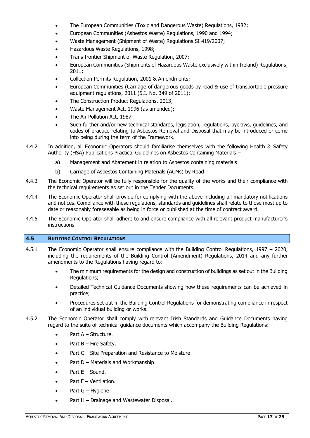- The European Communities (Toxic and Dangerous Waste) Regulations, 1982;
- European Communities (Asbestos Waste) Regulations, 1990 and 1994;
- Waste Management (Shipment of Waste) Regulations SI 419/2007;
- Hazardous Waste Regulations, 1998;
- Trans-frontier Shipment of Waste Regulation, 2007;
- European Communities (Shipments of Hazardous Waste exclusively within Ireland) Regulations, 2011;
- Collection Permits Regulation, 2001 & Amendments;
- European Communities (Carriage of dangerous goods by road & use of transportable pressure equipment regulations, 2011 (S.I. No. 349 of 2011);
- The Construction Product Regulations, 2013;
- Waste Management Act, 1996 (as amended);
- The Air Pollution Act, 1987.
- Such further and/or new technical standards, legislation, regulations, byelaws, guidelines, and codes of practice relating to Asbestos Removal and Disposal that may be introduced or come into being during the term of the Framework.
- 4.4.2 In addition, all Economic Operators should familiarise themselves with the following Health & Safety Authority (HSA) Publications Practical Guidelines on Asbestos Containing Materials –
	- a) Management and Abatement in relation to Asbestos containing materials
	- b) Carriage of Asbestos Containing Materials (ACMs) by Road
- 4.4.3 The Economic Operator will be fully responsible for the quality of the works and their compliance with the technical requirements as set out in the Tender Documents.
- 4.4.4 The Economic Operator shall provide for complying with the above including all mandatory notifications and notices. Compliance with these regulations, standards and guidelines shall relate to those most up to date or reasonably foreseeable as being in force or published at the time of contract award.
- 4.4.5 The Economic Operator shall adhere to and ensure compliance with all relevant product manufacturer's instructions.

## <span id="page-16-0"></span>**4.5 BUILDING CONTROL REGULATIONS**

- 4.5.1 The Economic Operator shall ensure compliance with the Building Control Regulations, 1997 2020, including the requirements of the Building Control (Amendment) Regulations, 2014 and any further amendments to the Regulations having regard to:
	- The minimum requirements for the design and construction of buildings as set out in the Building Regulations;
	- Detailed Technical Guidance Documents showing how these requirements can be achieved in practice;
	- Procedures set out in the Building Control Regulations for demonstrating compliance in respect of an individual building or works.
- 4.5.2 The Economic Operator shall comply with relevant Irish Standards and Guidance Documents having regard to the suite of technical guidance documents which accompany the Building Regulations:
	- Part A Structure.
	- $\bullet$  Part B Fire Safety.
	- Part C Site Preparation and Resistance to Moisture.
	- Part D Materials and Workmanship.
	- $\bullet$  Part  $E -$  Sound.
	- Part F Ventilation.
	- Part G Hygiene.
	- Part H Drainage and Wastewater Disposal.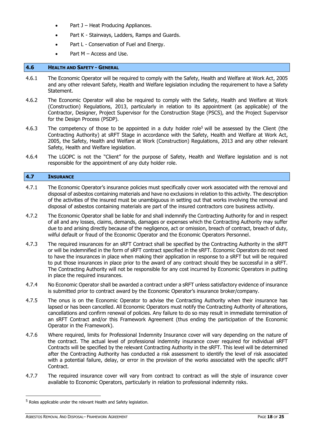- Part J Heat Producing Appliances.
- Part K Stairways, Ladders, Ramps and Guards.
- Part L Conservation of Fuel and Energy.
- Part  $M -$  Access and Use.

### <span id="page-17-0"></span>**4.6 HEALTH AND SAFETY - GENERAL**

- 4.6.1 The Economic Operator will be required to comply with the Safety, Health and Welfare at Work Act, 2005 and any other relevant Safety, Health and Welfare legislation including the requirement to have a Safety Statement.
- 4.6.2 The Economic Operator will also be required to comply with the Safety, Health and Welfare at Work (Construction) Regulations, 2013, particularly in relation to its appointment (as applicable) of the Contractor, Designer, Project Supervisor for the Construction Stage (PSCS), and the Project Supervisor for the Design Process (PSDP).
- 4.6.3 The competency of those to be appointed in a duty holder role<sup>5</sup> will be assessed by the Client (the Contracting Authority) at sRFT Stage in accordance with the Safety, Health and Welfare at Work Act, 2005, the Safety, Health and Welfare at Work (Construction) Regulations, 2013 and any other relevant Safety, Health and Welfare legislation.
- 4.6.4 The LGOPC is not the "Client" for the purpose of Safety, Health and Welfare legislation and is not responsible for the appointment of any duty holder role.

#### <span id="page-17-1"></span>**4.7 INSURANCE**

- 4.7.1 The Economic Operator's insurance policies must specifically cover work associated with the removal and disposal of asbestos containing materials and have no exclusions in relation to this activity. The description of the activities of the insured must be unambiguous in setting out that works involving the removal and disposal of asbestos containing materials are part of the insured contractors core business activity.
- 4.7.2 The Economic Operator shall be liable for and shall indemnify the Contracting Authority for and in respect of all and any losses, claims, demands, damages or expenses which the Contracting Authority may suffer due to and arising directly because of the negligence, act or omission, breach of contract, breach of duty, wilful default or fraud of the Economic Operator and the Economic Operators Personnel.
- 4.7.3 The required insurances for an sRFT Contract shall be specified by the Contracting Authority in the sRFT or will be indemnified in the form of sRFT contract specified in the sRFT. Economic Operators do not need to have the insurances in place when making their application in response to a sRFT but will be required to put those insurances in place prior to the award of any contract should they be successful in a sRFT. The Contracting Authority will not be responsible for any cost incurred by Economic Operators in putting in place the required insurances.
- 4.7.4 No Economic Operator shall be awarded a contract under a sRFT unless satisfactory evidence of insurance is submitted prior to contract award by the Economic Operator's insurance broker/company.
- 4.7.5 The onus is on the Economic Operator to advise the Contracting Authority when their insurance has lapsed or has been cancelled. All Economic Operators must notify the Contracting Authority of alterations, cancellations and confirm renewal of policies. Any failure to do so may result in immediate termination of an sRFT Contract and/or this Framework Agreement (thus ending the participation of the Economic Operator in the Framework).
- 4.7.6 Where required, limits for Professional Indemnity Insurance cover will vary depending on the nature of the contract. The actual level of professional indemnity insurance cover required for individual sRFT Contracts will be specified by the relevant Contracting Authority in the sRFT. This level will be determined after the Contracting Authority has conducted a risk assessment to identify the level of risk associated with a potential failure, delay, or error in the provision of the works associated with the specific sRFT Contract.
- 4.7.7 The required insurance cover will vary from contract to contract as will the style of insurance cover available to Economic Operators, particularly in relation to professional indemnity risks.

<sup>&</sup>lt;sup>5</sup> Roles applicable under the relevant Health and Safety legislation.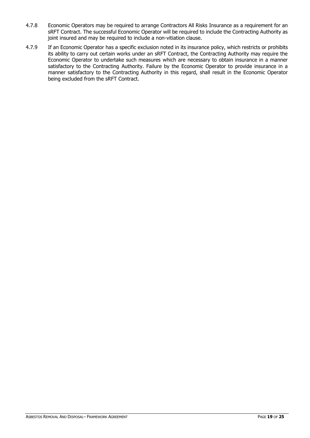- 4.7.8 Economic Operators may be required to arrange Contractors All Risks Insurance as a requirement for an sRFT Contract. The successful Economic Operator will be required to include the Contracting Authority as joint insured and may be required to include a non-vitiation clause.
- 4.7.9 If an Economic Operator has a specific exclusion noted in its insurance policy, which restricts or prohibits its ability to carry out certain works under an sRFT Contract, the Contracting Authority may require the Economic Operator to undertake such measures which are necessary to obtain insurance in a manner satisfactory to the Contracting Authority. Failure by the Economic Operator to provide insurance in a manner satisfactory to the Contracting Authority in this regard, shall result in the Economic Operator being excluded from the sRFT Contract.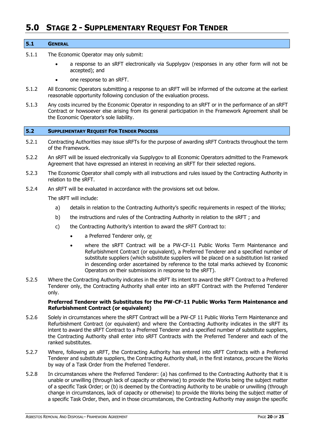# <span id="page-19-0"></span>**5.0 STAGE 2 - SUPPLEMENTARY REQUEST FOR TENDER**

#### <span id="page-19-1"></span>**5.1 GENERAL**

- 5.1.1 The Economic Operator may only submit:
	- a response to an sRFT electronically via Supplygov (responses in any other form will not be accepted); and
	- one response to an sRFT.
- 5.1.2 All Economic Operators submitting a response to an sRFT will be informed of the outcome at the earliest reasonable opportunity following conclusion of the evaluation process.
- 5.1.3 Any costs incurred by the Economic Operator in responding to an sRFT or in the performance of an sRFT Contract or howsoever else arising from its general participation in the Framework Agreement shall be the Economic Operator's sole liability.

#### <span id="page-19-2"></span>**5.2 SUPPLEMENTARY REQUEST FOR TENDER PROCESS**

- 5.2.1 Contracting Authorities may issue sRFTs for the purpose of awarding sRFT Contracts throughout the term of the Framework.
- 5.2.2 An sRFT will be issued electronically via Supplygov to all Economic Operators admitted to the Framework Agreement that have expressed an interest in receiving an sRFT for their selected regions.
- 5.2.3 The Economic Operator shall comply with all instructions and rules issued by the Contracting Authority in relation to the sRFT.
- 5.2.4 An sRFT will be evaluated in accordance with the provisions set out below.

The sRFT will include:

- a) details in relation to the Contracting Authority's specific requirements in respect of the Works;
- b) the instructions and rules of the Contracting Authority in relation to the sRFT ; and
- c) the Contracting Authority's intention to award the sRFT Contract to:
	- a Preferred Tenderer only, or
	- where the sRFT Contract will be a PW-CF-11 Public Works Term Maintenance and Refurbishment Contract (or equivalent), a Preferred Tenderer and a specified number of substitute suppliers (which substitute suppliers will be placed on a substitution list ranked in descending order ascertained by reference to the total marks achieved by Economic Operators on their submissions in response to the sRFT).
- 5.2.5 Where the Contracting Authority indicates in the sRFT its intent to award the sRFT Contract to a Preferred Tenderer only, the Contracting Authority shall enter into an sRFT Contract with the Preferred Tenderer only.

#### **Preferred Tenderer with Substitutes for the PW-CF-11 Public Works Term Maintenance and Refurbishment Contract (or equivalent)**

- 5.2.6 Solely in circumstances where the sRFT Contract will be a PW-CF 11 Public Works Term Maintenance and Refurbishment Contract (or equivalent) and where the Contracting Authority indicates in the sRFT its intent to award the sRFT Contract to a Preferred Tenderer and a specified number of substitute suppliers, the Contracting Authority shall enter into sRFT Contracts with the Preferred Tenderer and each of the ranked substitutes.
- 5.2.7 Where, following an sRFT, the Contracting Authority has entered into sRFT Contracts with a Preferred Tenderer and substitute suppliers, the Contracting Authority shall, in the first instance, procure the Works by way of a Task Order from the Preferred Tenderer.
- 5.2.8 In circumstances where the Preferred Tenderer: (a) has confirmed to the Contracting Authority that it is unable or unwilling (through lack of capacity or otherwise) to provide the Works being the subject matter of a specific Task Order; or (b) is deemed by the Contracting Authority to be unable or unwilling (through change in circumstances, lack of capacity or otherwise) to provide the Works being the subject matter of a specific Task Order, then, and in those circumstances, the Contracting Authority may assign the specific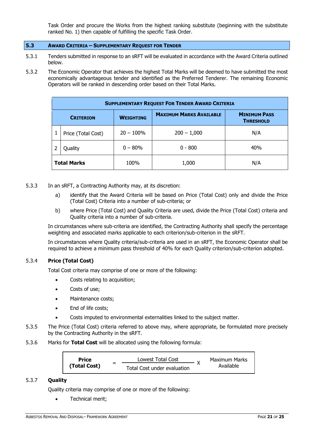Task Order and procure the Works from the highest ranking substitute (beginning with the substitute ranked No. 1) then capable of fulfilling the specific Task Order.

# <span id="page-20-0"></span>**5.3 AWARD CRITERIA – SUPPLEMENTARY REQUEST FOR TENDER**

- 5.3.1 Tenders submitted in response to an sRFT will be evaluated in accordance with the Award Criteria outlined below.
- 5.3.2 The Economic Operator that achieves the highest Total Marks will be deemed to have submitted the most economically advantageous tender and identified as the Preferred Tenderer. The remaining Economic Operators will be ranked in descending order based on their Total Marks.

| <b>SUPPLEMENTARY REQUEST FOR TENDER AWARD CRITERIA</b> |                  |                                |                                         |  |  |
|--------------------------------------------------------|------------------|--------------------------------|-----------------------------------------|--|--|
| <b>CRITERION</b>                                       | <b>WEIGHTING</b> | <b>MAXIMUM MARKS AVAILABLE</b> | <b>MINIMUM PASS</b><br><b>THRESHOLD</b> |  |  |
| Price (Total Cost)                                     | $20 - 100\%$     | $200 - 1,000$                  | N/A                                     |  |  |
| Quality                                                | $0 - 80%$        | $0 - 800$                      | 40%                                     |  |  |
| <b>Total Marks</b>                                     | 100%             | 1,000                          | N/A                                     |  |  |

- 5.3.3 In an sRFT, a Contracting Authority may, at its discretion:
	- a) identify that the Award Criteria will be based on Price (Total Cost) only and divide the Price (Total Cost) Criteria into a number of sub-criteria; or
	- b) where Price (Total Cost) and Quality Criteria are used, divide the Price (Total Cost) criteria and Quality criteria into a number of sub-criteria.

In circumstances where sub-criteria are identified, the Contracting Authority shall specify the percentage weighting and associated marks applicable to each criterion/sub-criterion in the sRFT.

In circumstances where Quality criteria/sub-criteria are used in an sRFT, the Economic Operator shall be required to achieve a minimum pass threshold of 40% for each Quality criterion/sub-criterion adopted.

## 5.3.4 **Price (Total Cost)**

Total Cost criteria may comprise of one or more of the following:

- Costs relating to acquisition;
- Costs of use;
- Maintenance costs;
- End of life costs;
- Costs imputed to environmental externalities linked to the subject matter.
- 5.3.5 The Price (Total Cost) criteria referred to above may, where appropriate, be formulated more precisely by the Contracting Authority in the sRFT.
- 5.3.6 Marks for **Total Cost** will be allocated using the following formula:

| <b>Price</b> | _ | Lowest Total Cost           |  | <b>Maximum Marks</b> |
|--------------|---|-----------------------------|--|----------------------|
| (Total Cost) |   | Total Cost under evaluation |  | Available            |

## 5.3.7 **Quality**

Quality criteria may comprise of one or more of the following:

• Technical merit;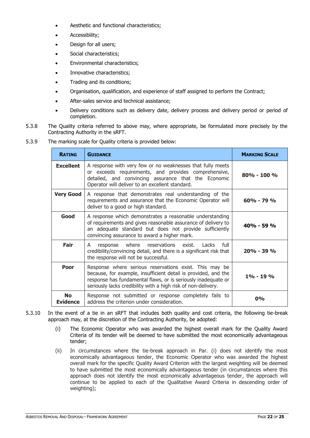- Aesthetic and functional characteristics;
- Accessibility;
- Design for all users;
- Social characteristics;
- Environmental characteristics;
- Innovative characteristics;
- Trading and its conditions;
- Organisation, qualification, and experience of staff assigned to perform the Contract;
- After-sales service and technical assistance;
- Delivery conditions such as delivery date, delivery process and delivery period or period of completion.
- 5.3.8 The Quality criteria referred to above may, where appropriate, be formulated more precisely by the Contracting Authority in the sRFT.
- 5.3.9 The marking scale for Quality criteria is provided below:

| <b>RATING</b>                | <b>GUIDANCE</b>                                                                                                                                                                                                                                            | <b>MARKING SCALE</b> |
|------------------------------|------------------------------------------------------------------------------------------------------------------------------------------------------------------------------------------------------------------------------------------------------------|----------------------|
| <b>Excellent</b>             | A response with very few or no weaknesses that fully meets<br>or exceeds requirements, and provides comprehensive,<br>detailed, and convincing assurance that the Economic<br>Operator will deliver to an excellent standard.                              | $80\% - 100\%$       |
| <b>Very Good</b>             | A response that demonstrates real understanding of the<br>requirements and assurance that the Economic Operator will<br>deliver to a good or high standard.                                                                                                | $60\% - 79\%$        |
| Good                         | A response which demonstrates a reasonable understanding<br>of requirements and gives reasonable assurance of delivery to<br>an adequate standard but does not provide sufficiently<br>convincing assurance to award a higher mark.                        | $40\% - 59\%$        |
| Fair                         | response where reservations exist. Lacks<br>full<br>A<br>credibility/convincing detail, and there is a significant risk that<br>the response will not be successful.                                                                                       | 20% - 39 %           |
| Poor                         | Response where serious reservations exist. This may be<br>because, for example, insufficient detail is provided, and the<br>response has fundamental flaws, or is seriously inadequate or<br>seriously lacks credibility with a high risk of non-delivery. | $1\% - 19\%$         |
| <b>No</b><br><b>Evidence</b> | Response not submitted or response completely fails to<br>address the criterion under consideration.                                                                                                                                                       | $0\%$                |

- 5.3.10 In the event of a tie in an sRFT that includes both quality and cost criteria, the following tie-break approach may, at the discretion of the Contracting Authority, be adopted:
	- (i) The Economic Operator who was awarded the highest overall mark for the Quality Award Criteria of its tender will be deemed to have submitted the most economically advantageous tender;
	- (ii) In circumstances where the tie-break approach in Par. (i) does not identify the most economically advantageous tender, the Economic Operator who was awarded the highest overall mark for the specific Quality Award Criterion with the largest weighting will be deemed to have submitted the most economically advantageous tender (in circumstances where this approach does not identify the most economically advantageous tender, the approach will continue to be applied to each of the Qualitative Award Criteria in descending order of weighting);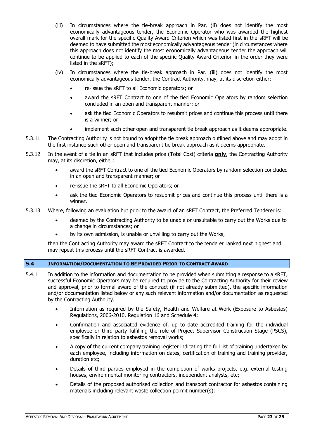- (iii) In circumstances where the tie-break approach in Par. (ii) does not identify the most economically advantageous tender, the Economic Operator who was awarded the highest overall mark for the specific Quality Award Criterion which was listed first in the sRFT will be deemed to have submitted the most economically advantageous tender (in circumstances where this approach does not identify the most economically advantageous tender the approach will continue to be applied to each of the specific Quality Award Criterion in the order they were listed in the sRFT);
- (iv) In circumstances where the tie-break approach in Par. (iii) does not identify the most economically advantageous tender, the Contract Authority, may, at its discretion either:
	- re-issue the sRFT to all Economic operators; or
	- award the sRFT Contract to one of the tied Economic Operators by random selection concluded in an open and transparent manner; or
	- ask the tied Economic Operators to resubmit prices and continue this process until there is a winner; or
	- implement such other open and transparent tie break approach as it deems appropriate.
- 5.3.11 The Contracting Authority is not bound to adopt the tie break approach outlined above and may adopt in the first instance such other open and transparent tie break approach as it deems appropriate.
- 5.3.12 In the event of a tie in an sRFT that includes price (Total Cost) criteria **only**, the Contracting Authority may, at its discretion, either:
	- award the sRFT Contract to one of the tied Economic Operators by random selection concluded in an open and transparent manner; or
	- re-issue the sRFT to all Economic Operators; or
	- ask the tied Economic Operators to resubmit prices and continue this process until there is a winner.
- 5.3.13 Where, following an evaluation but prior to the award of an sRFT Contract, the Preferred Tenderer is:
	- deemed by the Contracting Authority to be unable or unsuitable to carry out the Works due to a change in circumstances; or
	- by its own admission, is unable or unwilling to carry out the Works,

then the Contracting Authority may award the sRFT Contract to the tenderer ranked next highest and may repeat this process until the sRFT Contract is awarded.

## <span id="page-22-0"></span>**5.4 INFORMATION/DOCUMENTATION TO BE PROVIDED PRIOR TO CONTRACT AWARD**

- 5.4.1 In addition to the information and documentation to be provided when submitting a response to a sRFT, successful Economic Operators may be required to provide to the Contracting Authority for their review and approval, prior to formal award of the contract (if not already submitted), the specific information and/or documentation listed below or any such relevant information and/or documentation as requested by the Contracting Authority.
	- Information as required by the Safety, Health and Welfare at Work (Exposure to Asbestos) Regulations, 2006-2010, Regulation 16 and Schedule 4;
	- Confirmation and associated evidence of, up to date accredited training for the individual employee or third party fulfilling the role of Project Supervisor Construction Stage (PSCS), specifically in relation to asbestos removal works;
	- A copy of the current company training register indicating the full list of training undertaken by each employee, including information on dates, certification of training and training provider, duration etc;
	- Details of third parties employed in the completion of works projects, e.g. external testing houses, environmental monitoring contractors, independent analysts, etc;
	- Details of the proposed authorised collection and transport contractor for asbestos containing materials including relevant waste collection permit number(s);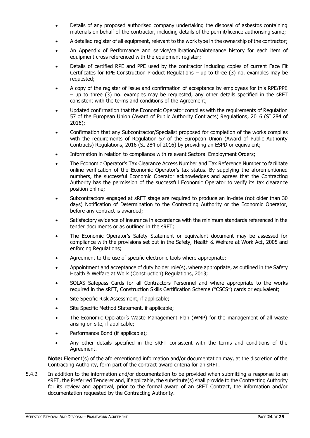- Details of any proposed authorised company undertaking the disposal of asbestos containing materials on behalf of the contractor, including details of the permit/licence authorising same;
- A detailed register of all equipment, relevant to the work type in the ownership of the contractor;
- An Appendix of Performance and service/calibration/maintenance history for each item of equipment cross referenced with the equipment register;
- Details of certified RPE and PPE used by the contractor including copies of current Face Fit Certificates for RPE Construction Product Regulations – up to three (3) no. examples may be requested;
- A copy of the register of issue and confirmation of acceptance by employees for this RPE/PPE – up to three (3) no. examples may be requested, any other details specified in the sRFT consistent with the terms and conditions of the Agreement;
- Updated confirmation that the Economic Operator complies with the requirements of Regulation 57 of the European Union (Award of Public Authority Contracts) Regulations, 2016 (SI 284 of 2016);
- Confirmation that any Subcontractor/Specialist proposed for completion of the works complies with the requirements of Regulation 57 of the European Union (Award of Public Authority Contracts) Regulations, 2016 (SI 284 of 2016) by providing an ESPD or equivalent;
- Information in relation to compliance with relevant Sectoral Employment Orders;
- The Economic Operator's Tax Clearance Access Number and Tax Reference Number to facilitate online verification of the Economic Operator's tax status. By supplying the aforementioned numbers, the successful Economic Operator acknowledges and agrees that the Contracting Authority has the permission of the successful Economic Operator to verify its tax clearance position online;
- Subcontractors engaged at sRFT stage are required to produce an in-date (not older than 30 days) Notification of Determination to the Contracting Authority or the Economic Operator, before any contract is awarded;
- Satisfactory evidence of insurance in accordance with the minimum standards referenced in the tender documents or as outlined in the sRFT;
- The Economic Operator's Safety Statement or equivalent document may be assessed for compliance with the provisions set out in the Safety, Health & Welfare at Work Act, 2005 and enforcing Regulations;
- Agreement to the use of specific electronic tools where appropriate;
- Appointment and acceptance of duty holder role(s), where appropriate, as outlined in the Safety Health & Welfare at Work (Construction) Regulations, 2013;
- SOLAS Safepass Cards for all Contractors Personnel and where appropriate to the works required in the sRFT, Construction Skills Certification Scheme ("CSCS") cards or equivalent;
- Site Specific Risk Assessment, if applicable;
- Site Specific Method Statement, if applicable;
- The Economic Operator's Waste Management Plan (WMP) for the management of all waste arising on site, if applicable;
- Performance Bond (if applicable);
- Any other details specified in the sRFT consistent with the terms and conditions of the Agreement.

**Note:** Element(s) of the aforementioned information and/or documentation may, at the discretion of the Contracting Authority, form part of the contract award criteria for an sRFT.

5.4.2 In addition to the information and/or documentation to be provided when submitting a response to an sRFT, the Preferred Tenderer and, if applicable, the substitute(s) shall provide to the Contracting Authority for its review and approval, prior to the formal award of an sRFT Contract, the information and/or documentation requested by the Contracting Authority.